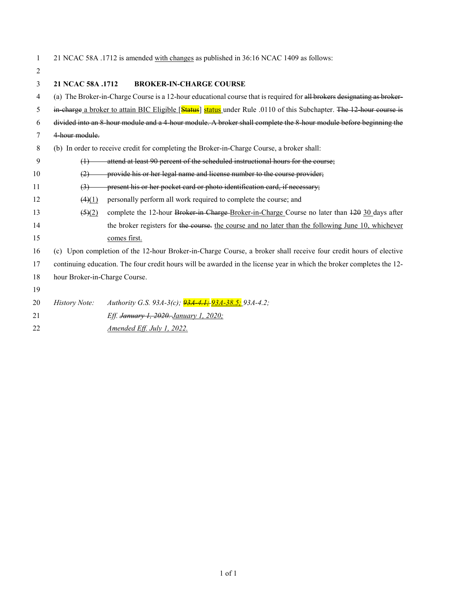21 NCAC 58A .1712 is amended with changes as published in 36:16 NCAC 1409 as follows:

- **21 NCAC 58A .1712 BROKER-IN-CHARGE COURSE**
	- (a) The Broker-in-Charge Course is a 12-hour educational course that is required for all brokers designating as broker-
	- 5 in charge a broker to attain BIC Eligible [Status] status under Rule .0110 of this Subchapter. The 12-hour course is
	- divided into an 8-hour module and a 4-hour module. A broker shall complete the 8-hour module before beginning the
	- 4-hour module.
	- (b) In order to receive credit for completing the Broker-in-Charge Course, a broker shall:
	- (1) attend at least 90 percent of the scheduled instructional hours for the course;
- (2) provide his or her legal name and license number to the course provider;
- (3) present his or her pocket card or photo identification card, if necessary;
- $\frac{(4)(1)}{2}$  personally perform all work required to complete the course; and
- (5)(2) complete the 12-hour Broker-in Charge Broker-in-Charge Course no later than 120 30 days after 14 the broker registers for the course and no later than the following June 10, whichever comes first.
- (c) Upon completion of the 12-hour Broker-in-Charge Course, a broker shall receive four credit hours of elective
- continuing education. The four credit hours will be awarded in the license year in which the broker completes the 12- hour Broker-in-Charge Course.
- 
- *History Note: Authority G.S. 93A-3(c); 93A-4.1; 93A-38.5; 93A-4.2;*
- *Eff. January 1, 2020. January 1, 2020;*
- *Amended Eff. July 1, 2022.*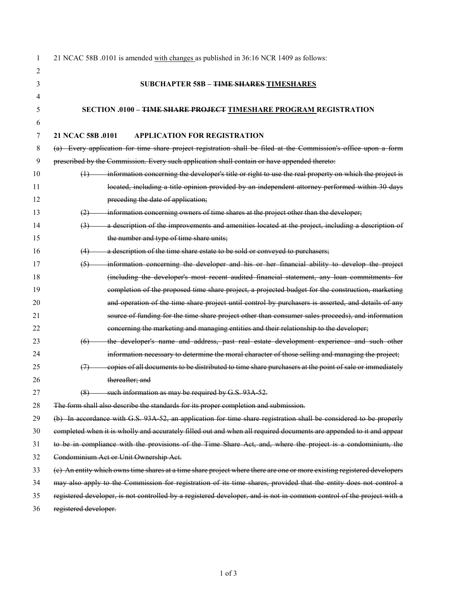| 1  | 21 NCAC 58B .0101 is amended with changes as published in 36:16 NCR 1409 as follows:                                        |  |
|----|-----------------------------------------------------------------------------------------------------------------------------|--|
| 2  |                                                                                                                             |  |
| 3  | <b>SUBCHAPTER 58B - TIME SHARES TIMESHARES</b>                                                                              |  |
| 4  |                                                                                                                             |  |
| 5  | SECTION .0100 - TIME SHARE PROJECT TIMESHARE PROGRAM REGISTRATION                                                           |  |
| 6  |                                                                                                                             |  |
| 7  | <b>APPLICATION FOR REGISTRATION</b><br>21 NCAC 58B .0101                                                                    |  |
| 8  | (a) Every application for time share project registration shall be filed at the Commission's office upon a form             |  |
| 9  | prescribed by the Commission. Every such application shall contain or have appended thereto:                                |  |
| 10 | information concerning the developer's title or right to use the real property on which the project is<br>(1)               |  |
| 11 | located, including a title opinion provided by an independent attorney performed within 30 days                             |  |
| 12 | preceding the date of application;                                                                                          |  |
| 13 | information concerning owners of time shares at the project other than the developer;<br>(2)                                |  |
| 14 | a description of the improvements and amenities located at the project, including a description of<br>$\left(3\right)$      |  |
| 15 | the number and type of time share units;                                                                                    |  |
| 16 | a description of the time share estate to be sold or conveyed to purchasers;<br>(4)                                         |  |
| 17 | information concerning the developer and his or her financial ability to develop the project<br>(5)                         |  |
| 18 | (including the developer's most recent audited financial statement, any loan commitments for                                |  |
| 19 | completion of the proposed time share project, a projected budget for the construction, marketing                           |  |
| 20 | and operation of the time share project until control by purchasers is asserted, and details of any                         |  |
| 21 | source of funding for the time share project other than consumer sales proceeds), and information                           |  |
| 22 | concerning the marketing and managing entities and their relationship to the developer;                                     |  |
| 23 | the developer's name and address, past real estate development experience and such other<br>(6)                             |  |
| 24 | information necessary to determine the moral character of those selling and managing the project;                           |  |
| 25 | copies of all documents to be distributed to time share purchasers at the point of sale or immediately<br>$\leftrightarrow$ |  |
| 26 | thereafter; and                                                                                                             |  |
| 27 | such information as may be required by G.S. 93A 52.                                                                         |  |
| 28 | The form shall also describe the standards for its proper completion and submission.                                        |  |
| 29 | (b) In accordance with G.S. 93A 52, an application for time share registration shall be considered to be properly           |  |
| 30 | completed when it is wholly and accurately filled out and when all required documents are appended to it and appear         |  |
| 31 | to be in compliance with the provisions of the Time Share Act, and, where the project is a condominium, the                 |  |
| 32 | Condominium Act or Unit Ownership Act.                                                                                      |  |
| 33 | (e) An entity which owns time shares at a time share project where there are one or more existing registered developers     |  |
| 34 | may also apply to the Commission for registration of its time shares, provided that the entity does not control a           |  |
| 35 | registered developer, is not controlled by a registered developer, and is not in common control of the project with a       |  |
| 36 | registered developer.                                                                                                       |  |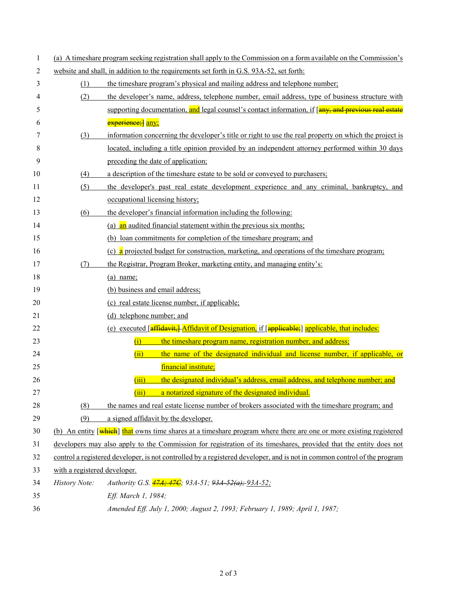| 1  |                              | (a) A timeshare program seeking registration shall apply to the Commission on a form available on the Commission's       |
|----|------------------------------|--------------------------------------------------------------------------------------------------------------------------|
| 2  |                              | website and shall, in addition to the requirements set forth in G.S. 93A-52, set forth:                                  |
| 3  | (1)                          | the timeshare program's physical and mailing address and telephone number;                                               |
| 4  | (2)                          | the developer's name, address, telephone number, email address, type of business structure with                          |
| 5  |                              | supporting documentation, and legal counsel's contact information, if [any, and previous real estate                     |
| 6  |                              | <b>experience;</b> any;                                                                                                  |
| 7  | (3)                          | information concerning the developer's title or right to use the real property on which the project is                   |
| 8  |                              | located, including a title opinion provided by an independent attorney performed within 30 days                          |
| 9  |                              | preceding the date of application;                                                                                       |
| 10 | (4)                          | a description of the timeshare estate to be sold or conveyed to purchasers;                                              |
| 11 | (5)                          | the developer's past real estate development experience and any criminal, bankruptcy, and                                |
| 12 |                              | occupational licensing history;                                                                                          |
| 13 | (6)                          | the developer's financial information including the following:                                                           |
| 14 |                              | (a) an audited financial statement within the previous six months;                                                       |
| 15 |                              | (b) loan commitments for completion of the timeshare program; and                                                        |
| 16 |                              | (c) a projected budget for construction, marketing, and operations of the timeshare program;                             |
| 17 | (7)                          | the Registrar, Program Broker, marketing entity, and managing entity's:                                                  |
| 18 |                              | $(a)$ name;                                                                                                              |
| 19 |                              | (b) business and email address;                                                                                          |
| 20 |                              | (c) real estate license number, if applicable;                                                                           |
| 21 |                              | (d) telephone number; and                                                                                                |
| 22 |                              | (e) executed [affidavit,] Affidavit of Designation, if [applicable,] applicable, that includes:                          |
| 23 |                              | the timeshare program name, registration number, and address;<br>(i)                                                     |
| 24 |                              | the name of the designated individual and license number, if applicable, or<br>(ii)                                      |
| 25 |                              | financial institute;                                                                                                     |
| 26 |                              | the designated individual's address, email address, and telephone number; and<br>(iii)                                   |
| 27 |                              | a notarized signature of the designated individual.<br>(iii)                                                             |
| 28 | (8)                          | the names and real estate license number of brokers associated with the timeshare program; and                           |
| 29 | (9)                          | a signed affidavit by the developer.                                                                                     |
| 30 |                              | (b) An entity [which that owns time shares at a timeshare program where there are one or more existing registered        |
| 31 |                              | developers may also apply to the Commission for registration of its timeshares, provided that the entity does not        |
| 32 |                              | control a registered developer, is not controlled by a registered developer, and is not in common control of the program |
| 33 | with a registered developer. |                                                                                                                          |
| 34 | History Note:                | Authority G.S. 47A; 47C; 93A-51; 93A-52(a); 93A-52;                                                                      |
| 35 |                              | Eff. March 1, 1984;                                                                                                      |
| 36 |                              | Amended Eff. July 1, 2000; August 2, 1993; February 1, 1989; April 1, 1987;                                              |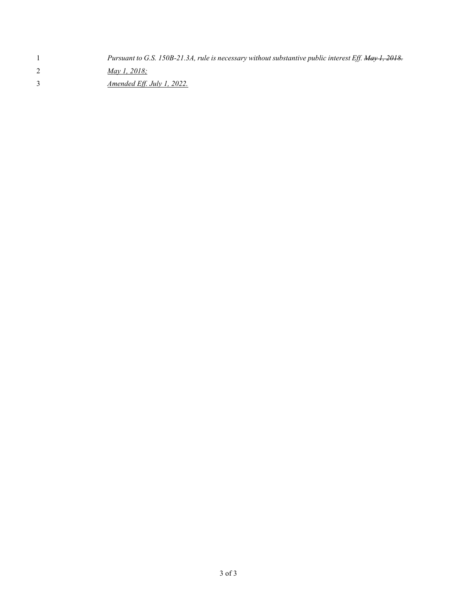| Pursuant to G.S. 150B-21.3A, rule is necessary without substantive public interest Eff. May 1, 2018. |
|------------------------------------------------------------------------------------------------------|
| May 1, 2018;                                                                                         |
| Amended Eff. July 1, 2022.                                                                           |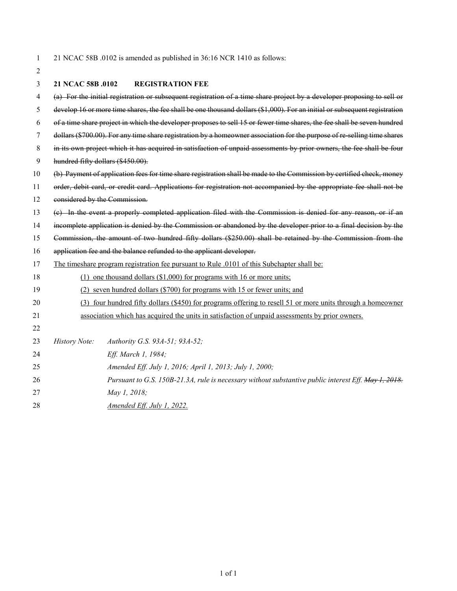21 NCAC 58B .0102 is amended as published in 36:16 NCR 1410 as follows: **21 NCAC 58B .0102 REGISTRATION FEE** (a) For the initial registration or subsequent registration of a time share project by a developer proposing to sell or develop 16 or more time shares, the fee shall be one thousand dollars (\$1,000). For an initial or subsequent registration of a time share project in which the developer proposes to sell 15 or fewer time shares, the fee shall be seven hundred dollars (\$700.00). For any time share registration by a homeowner association for the purpose of re-selling time shares in its own project which it has acquired in satisfaction of unpaid assessments by prior owners, the fee shall be four hundred fifty dollars (\$450.00). (b) Payment of application fees for time share registration shall be made to the Commission by certified check, money order, debit card, or credit card. Applications for registration not accompanied by the appropriate fee shall not be considered by the Commission. (c) In the event a properly completed application filed with the Commission is denied for any reason, or if an incomplete application is denied by the Commission or abandoned by the developer prior to a final decision by the Commission, the amount of two hundred fifty dollars (\$250.00) shall be retained by the Commission from the application fee and the balance refunded to the applicant developer. The timeshare program registration fee pursuant to Rule .0101 of this Subchapter shall be: (1) one thousand dollars (\$1,000) for programs with 16 or more units; (2) seven hundred dollars (\$700) for programs with 15 or fewer units; and (3) four hundred fifty dollars (\$450) for programs offering to resell 51 or more units through a homeowner association which has acquired the units in satisfaction of unpaid assessments by prior owners. *History Note: Authority G.S. 93A-51; 93A-52; Eff. March 1, 1984; Amended Eff. July 1, 2016; April 1, 2013; July 1, 2000;*

- *Pursuant to G.S. 150B-21.3A, rule is necessary without substantive public interest Eff. May 1, 2018.*
- *May 1, 2018;*
- *Amended Eff. July 1, 2022.*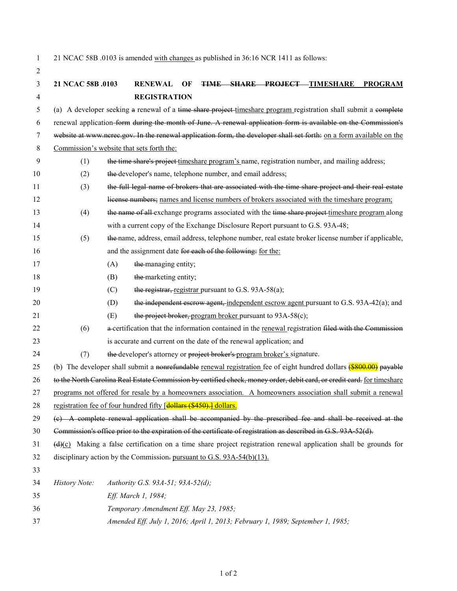| 1     |                   | 21 NCAC 58B .0103 is amended with changes as published in 36:16 NCR 1411 as follows:                                                  |
|-------|-------------------|---------------------------------------------------------------------------------------------------------------------------------------|
| 2     |                   |                                                                                                                                       |
| 3     | 21 NCAC 58B .0103 | <b>RENEWAL</b><br><b>TIME SHARE PROJECT TIMESHARE</b><br><b>PROGRAM</b><br>OF                                                         |
| 4     |                   | <b>REGISTRATION</b>                                                                                                                   |
| 5     |                   | (a) A developer seeking a renewal of a time share project-timeshare program registration shall submit a complete                      |
| 6     |                   | renewal application-form during the month of June. A renewal application form is available on the Commission's                        |
| 7     |                   | website at www.ncree.gov. In the renewal application form, the developer shall set forth: on a form available on the                  |
| $8\,$ |                   | Commission's website that sets forth the:                                                                                             |
| 9     | (1)               | the time share's project timeshare program's name, registration number, and mailing address;                                          |
| 10    | (2)               | the developer's name, telephone number, and email address;                                                                            |
| 11    | (3)               | the full legal name of brokers that are associated with the time share project and their real estate                                  |
| 12    |                   | license numbers; names and license numbers of brokers associated with the timeshare program;                                          |
| 13    | (4)               | the name of all exchange programs associated with the time share project-timeshare program along                                      |
| 14    |                   | with a current copy of the Exchange Disclosure Report pursuant to G.S. 93A-48;                                                        |
| 15    | (5)               | the name, address, email address, telephone number, real estate broker license number if applicable,                                  |
| 16    |                   | and the assignment date for each of the following: for the:                                                                           |
| 17    |                   | the-managing entity;<br>(A)                                                                                                           |
| 18    |                   | the-marketing entity;<br>(B)                                                                                                          |
| 19    |                   | the registrar, registrar pursuant to G.S. 93A-58(a);<br>(C)                                                                           |
| 20    |                   | the independent escrow agent, independent escrow agent pursuant to G.S. 93A-42(a); and<br>(D)                                         |
| 21    |                   | (E)<br>the project broker, program broker pursuant to 93A-58(c);                                                                      |
| 22    | (6)               | a-certification that the information contained in the renewal registration filed with the Commission                                  |
| 23    |                   | is accurate and current on the date of the renewal application; and                                                                   |
| 24    | (7)               | the developer's attorney or project broker's program broker's signature.                                                              |
| 25    |                   | (b) The developer shall submit a nonrefundable renewal registration fee of eight hundred dollars (\$800.00) payable                   |
| 26    |                   | to the North Carolina Real Estate Commission by certified check, money order, debit card, or credit card. for timeshare               |
| 27    |                   | programs not offered for resale by a homeowners association. A homeowners association shall submit a renewal                          |
| 28    |                   | registration fee of four hundred fifty [dollars (\$450).] dollars.                                                                    |
| 29    |                   | (e) A complete renewal application shall be accompanied by the prescribed fee and shall be received at the                            |
| 30    |                   | Commission's office prior to the expiration of the certificate of registration as described in G.S. 93A 52(d).                        |
| 31    |                   | $\left(\frac{d}{c}\right)$ Making a false certification on a time share project registration renewal application shall be grounds for |
| 32    |                   | disciplinary action by the Commission. pursuant to G.S. $93A-54(b)(13)$ .                                                             |
| 33    |                   |                                                                                                                                       |
| 34    | History Note:     | Authority G.S. 93A-51; 93A-52(d);                                                                                                     |
| 35    |                   | Eff. March 1, 1984;                                                                                                                   |
| 36    |                   | Temporary Amendment Eff. May 23, 1985;                                                                                                |
| 37    |                   | Amended Eff. July 1, 2016; April 1, 2013; February 1, 1989; September 1, 1985;                                                        |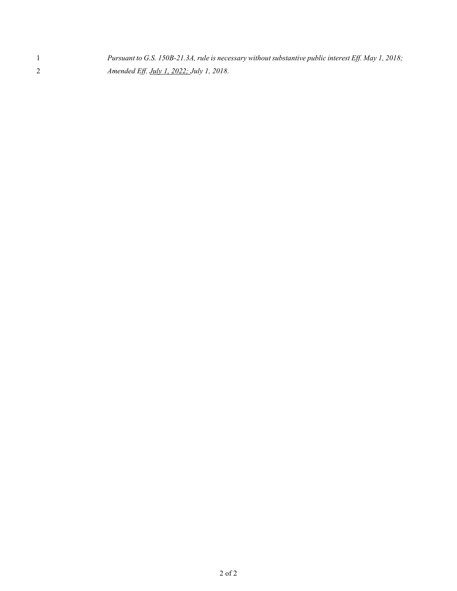*Pursuant to G.S. 150B-21.3A, rule is necessary without substantive public interest Eff. May 1, 2018; Amended Eff. July 1, 2022; July 1, 2018.*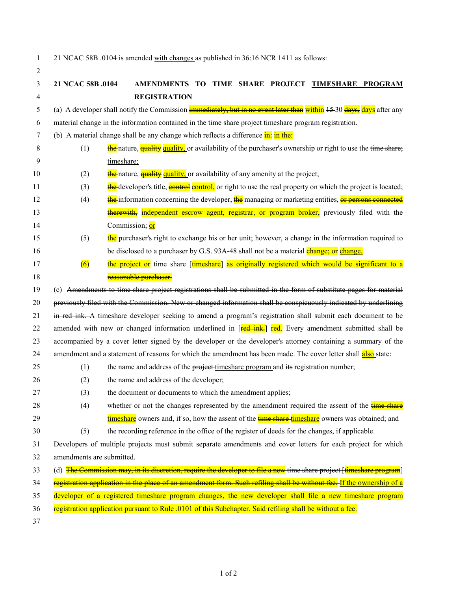| 21 NCAC 58B 0.0104 is amended with changes as published in 36:16 NCR 1411 as follows: |  |
|---------------------------------------------------------------------------------------|--|
|---------------------------------------------------------------------------------------|--|

## 3 **21 NCAC 58B .0104 AMENDMENTS TO TIME SHARE PROJECT TIMESHARE PROGRAM**  4 **REGISTRATION** 5 (a) A developer shall notify the Commission immediately, but in no event later than within  $\frac{15}{30}$  days, days after any 6 material change in the information contained in the time share project timeshare program registration. 7 (b) A material change shall be any change which reflects a difference  $\frac{1}{n+1}$  in the: 8 (1) the nature, quality quality, or availability of the purchaser's ownership or right to use the time share; 9 timeshare; 10 (2) the nature, quality, or availability of any amenity at the project; 11 (3) the developer's title, **control**, or right to use the real property on which the project is located;

- 12 (4) the information concerning the developer, the managing or marketing entities, or persons connected 13 therewith, independent escrow agent, registrar, or program broker, previously filed with the 14 Commission; or
- 15  $\text{the}$ -purchaser's right to exchange his or her unit; however, a change in the information required to 16 be disclosed to a purchaser by G.S. 93A-48 shall not be a material changes of change.
- 17 (6) the project or time share [timeshare] as originally registered which would be significant to a 18 **reasonable purchaser.**
- 19 (c) Amendments to time share project registrations shall be submitted in the form of substitute pages for material

20 previously filed with the Commission. New or changed information shall be conspicuously indicated by underlining

21 in red ink. A timeshare developer seeking to amend a program's registration shall submit each document to be

22 amended with new or changed information underlined in [red ink.] red. Every amendment submitted shall be 23 accompanied by a cover letter signed by the developer or the developer's attorney containing a summary of the 24 amendment and a statement of reasons for which the amendment has been made. The cover letter shall also state:

- 25 (1) the name and address of the project timeshare program and its registration number;
- 26 (2) the name and address of the developer;
- 27 (3) the document or documents to which the amendment applies;
- 28 (4) whether or not the changes represented by the amendment required the assent of the time share 29 timeshare owners and, if so, how the assent of the time share timeshare owners was obtained; and
- 30 (5) the recording reference in the office of the register of deeds for the changes, if applicable.
- 31 Developers of multiple projects must submit separate amendments and cover letters for each project for which
- 32 amendments are submitted.
- 33 (d) The Commission may, in its discretion, require the developer to file a new time share project [timeshare program]
- 34 registration application in the place of an amendment form. Such refiling shall be without fee. If the ownership of a
- 35 developer of a registered timeshare program changes, the new developer shall file a new timeshare program
- 36 registration application pursuant to Rule .0101 of this Subchapter. Said refiling shall be without a fee.
- 37

2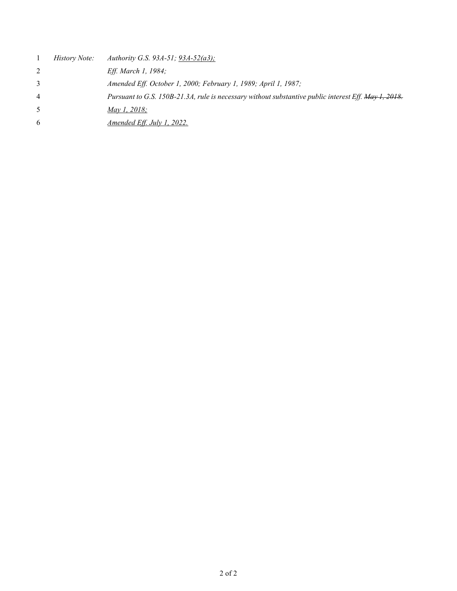|                | <i>History Note:</i> | Authority G.S. 93A-51; 93A-52(a3);                                                                   |
|----------------|----------------------|------------------------------------------------------------------------------------------------------|
| 2              |                      | <i>Eff. March 1, 1984;</i>                                                                           |
| 3              |                      | Amended Eff. October 1, 2000; February 1, 1989; April 1, 1987;                                       |
| $\overline{4}$ |                      | Pursuant to G.S. 150B-21.3A, rule is necessary without substantive public interest Eff. May 1, 2018. |
| 5              |                      | May 1, 2018;                                                                                         |
| 6              |                      | Amended Eff. July 1, 2022.                                                                           |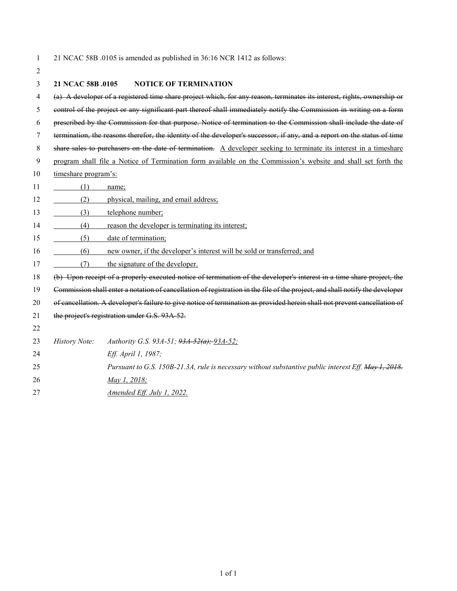- 21 NCAC 58B .0105 is amended as published in 36:16 NCR 1412 as follows: **21 NCAC 58B .0105 NOTICE OF TERMINATION** (a) A developer of a registered time share project which, for any reason, terminates its interest, rights, ownership or control of the project or any significant part thereof shall immediately notify the Commission in writing on a form prescribed by the Commission for that purpose. Notice of termination to the Commission shall include the date of termination, the reasons therefor, the identity of the developer's successor, if any, and a report on the status of time 8 share sales to purchasers on the date of termination. A developer seeking to terminate its interest in a timeshare program shall file a Notice of Termination form available on the Commission's website and shall set forth the timeshare program's: (1) name; (2) physical, mailing, and email address; (3) telephone number; 14 (4) reason the developer is terminating its interest; (5) date of termination; (6) new owner, if the developer's interest will be sold or transferred; and 17 (7) the signature of the developer. (b) Upon receipt of a properly executed notice of termination of the developer's interest in a time share project, the Commission shall enter a notation of cancellation of registration in the file of the project, and shall notify the developer 20 of cancellation. A developer's failure to give notice of termination as provided herein shall not prevent cancellation of 21 the project's registration under G.S. 93A-52. *History Note: Authority G.S. 93A-51; 93A-52(a); 93A-52; Eff. April 1, 1987; Pursuant to G.S. 150B-21.3A, rule is necessary without substantive public interest Eff. May 1, 2018. May 1, 2018;*
- *Amended Eff. July 1, 2022.*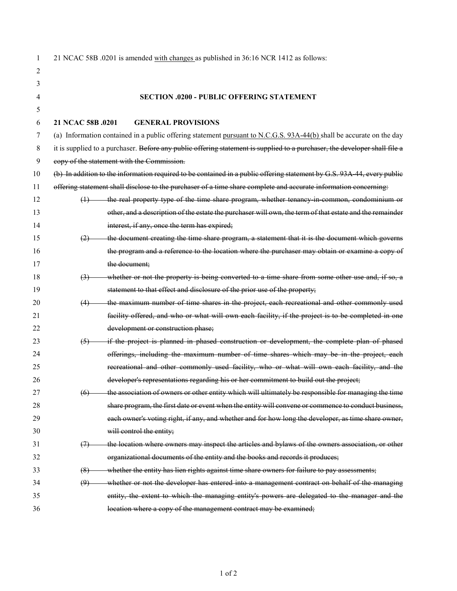| 1  | 21 NCAC 58B .0201 is amended with changes as published in 36:16 NCR 1412 as follows:                                       |
|----|----------------------------------------------------------------------------------------------------------------------------|
| 2  |                                                                                                                            |
| 3  |                                                                                                                            |
| 4  | <b>SECTION .0200 - PUBLIC OFFERING STATEMENT</b>                                                                           |
| 5  |                                                                                                                            |
| 6  | 21 NCAC 58B .0201<br><b>GENERAL PROVISIONS</b>                                                                             |
| 7  | (a) Information contained in a public offering statement pursuant to N.C.G.S. 93A-44(b) shall be accurate on the day       |
| 8  | it is supplied to a purchaser. Before any public offering statement is supplied to a purchaser, the developer shall file a |
| 9  | copy of the statement with the Commission.                                                                                 |
| 10 | (b) In addition to the information required to be contained in a public offering statement by G.S. 93A 44, every public    |
| 11 | offering statement shall disclose to the purchaser of a time share complete and accurate information concerning:           |
| 12 | the real property type of the time share program, whether tenancy in common, condominium or<br>$\leftrightarrow$           |
| 13 | other, and a description of the estate the purchaser will own, the term of that estate and the remainder                   |
| 14 | interest, if any, once the term has expired;                                                                               |
| 15 | the document creating the time share program, a statement that it is the document which governs<br>(2)                     |
| 16 | the program and a reference to the location where the purchaser may obtain or examine a copy of                            |
| 17 | the document;                                                                                                              |
| 18 | whether or not the property is being converted to a time share from some other use and, if so, a<br>$\leftrightarrow$      |
| 19 | statement to that effect and disclosure of the prior use of the property;                                                  |
| 20 | the maximum number of time shares in the project, each recreational and other commonly used<br>(4)                         |
| 21 | facility offered, and who or what will own each facility, if the project is to be completed in one                         |
| 22 | development or construction phase;                                                                                         |
| 23 | if the project is planned in phased construction or development, the complete plan of phased<br>(5)                        |
| 24 | offerings, including the maximum number of time shares which may be in the project, each                                   |
| 25 | recreational and other commonly used facility, who or what will own each facility, and the                                 |
| 26 | developer's representations regarding his or her commitment to build out the project;                                      |
| 27 | (6)<br>the association of owners or other entity which will ultimately be responsible for managing the time                |
| 28 | share program, the first date or event when the entity will convene or commence to conduct business,                       |
| 29 | each owner's voting right, if any, and whether and for how long the developer, as time share owner,                        |
| 30 | will control the entity;                                                                                                   |
| 31 | the location where owners may inspect the articles and bylaws of the owners association, or other<br>(7)                   |
| 32 | organizational documents of the entity and the books and records it produces;                                              |
| 33 | whether the entity has lien rights against time share owners for failure to pay assessments;<br>(8)                        |
| 34 | whether or not the developer has entered into a management contract on behalf of the managing<br>(9)                       |
| 35 | entity, the extent to which the managing entity's powers are delegated to the manager and the                              |
| 36 | location where a copy of the management contract may be examined;                                                          |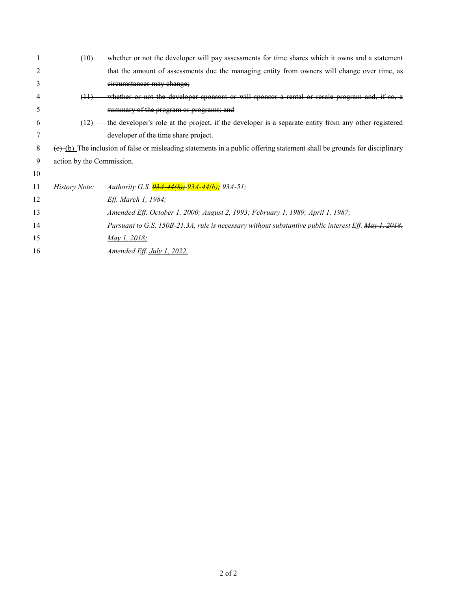|    | (10)                                                                                                                                  | whether or not the developer will pay assessments for time shares which it owns and a statement      |
|----|---------------------------------------------------------------------------------------------------------------------------------------|------------------------------------------------------------------------------------------------------|
|    |                                                                                                                                       | that the amount of assessments due the managing entity from owners will change over time, as         |
| 3  |                                                                                                                                       | eircumstances may change;                                                                            |
|    | (11)                                                                                                                                  | whether or not the developer sponsors or will sponsor a rental or resale program and, if so, a       |
| Ć  |                                                                                                                                       | summary of the program or programs; and                                                              |
| b  | (12)                                                                                                                                  | the developer's role at the project, if the developer is a separate entity from any other registered |
|    |                                                                                                                                       | developer of the time share project.                                                                 |
| 8  | $\overline{(e)}$ (b) The inclusion of false or misleading statements in a public offering statement shall be grounds for disciplinary |                                                                                                      |
| 9  | action by the Commission.                                                                                                             |                                                                                                      |
| 10 |                                                                                                                                       |                                                                                                      |
| 11 | <i>History Note:</i>                                                                                                                  | Authority G.S. <b>93A-44(8)</b> ; 93A-44(b); 93A-51;                                                 |
| 12 |                                                                                                                                       | Eff. March 1, 1984;                                                                                  |
| 13 |                                                                                                                                       | Amended Eff. October 1, 2000; August 2, 1993; February 1, 1989; April 1, 1987;                       |
| 14 |                                                                                                                                       | Pursuant to G.S. 150B-21.3A, rule is necessary without substantive public interest Eff. May 1, 2018. |
| 15 |                                                                                                                                       | May 1, 2018;                                                                                         |
| 16 |                                                                                                                                       | Amended Eff. July 1, 2022.                                                                           |
|    |                                                                                                                                       |                                                                                                      |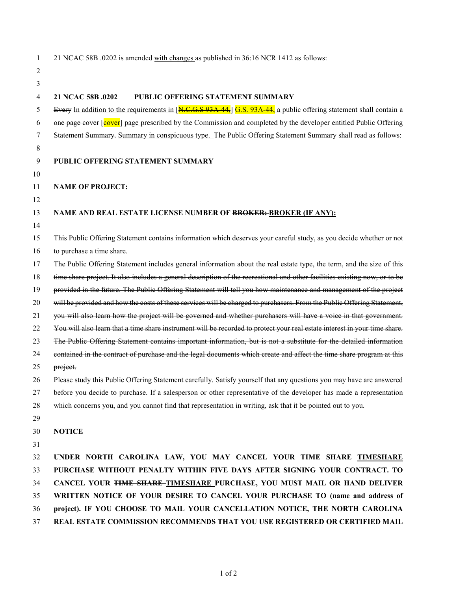- 
- 21 NCAC 58B .0202 is amended with changes as published in 36:16 NCR 1412 as follows:
- 

#### **21 NCAC 58B .0202 PUBLIC OFFERING STATEMENT SUMMARY**

5 Every In addition to the requirements in  $[\overline{N.C.G.S. 93A. 44}]$  G.S. 93A-44, a public offering statement shall contain a 6 one page cover  $\epsilon$  [cover] page prescribed by the Commission and completed by the developer entitled Public Offering Statement Summary. Summary in conspicuous type. The Public Offering Statement Summary shall read as follows: **PUBLIC OFFERING STATEMENT SUMMARY NAME OF PROJECT: NAME AND REAL ESTATE LICENSE NUMBER OF BROKER: BROKER (IF ANY):** This Public Offering Statement contains information which deserves your careful study, as you decide whether or not 16 to purchase a time share. The Public Offering Statement includes general information about the real estate type, the term, and the size of this time share project. It also includes a general description of the recreational and other facilities existing now, or to be provided in the future. The Public Offering Statement will tell you how maintenance and management of the project 20 will be provided and how the costs of these services will be charged to purchasers. From the Public Offering Statement, you will also learn how the project will be governed and whether purchasers will have a voice in that government. You will also learn that a time share instrument will be recorded to protect your real estate interest in your time share. The Public Offering Statement contains important information, but is not a substitute for the detailed information contained in the contract of purchase and the legal documents which create and affect the time share program at this project. Please study this Public Offering Statement carefully. Satisfy yourself that any questions you may have are answered before you decide to purchase. If a salesperson or other representative of the developer has made a representation which concerns you, and you cannot find that representation in writing, ask that it be pointed out to you. **NOTICE UNDER NORTH CAROLINA LAW, YOU MAY CANCEL YOUR TIME SHARE TIMESHARE PURCHASE WITHOUT PENALTY WITHIN FIVE DAYS AFTER SIGNING YOUR CONTRACT. TO CANCEL YOUR TIME SHARE TIMESHARE PURCHASE, YOU MUST MAIL OR HAND DELIVER WRITTEN NOTICE OF YOUR DESIRE TO CANCEL YOUR PURCHASE TO (name and address of project). IF YOU CHOOSE TO MAIL YOUR CANCELLATION NOTICE, THE NORTH CAROLINA** 

**REAL ESTATE COMMISSION RECOMMENDS THAT YOU USE REGISTERED OR CERTIFIED MAIL**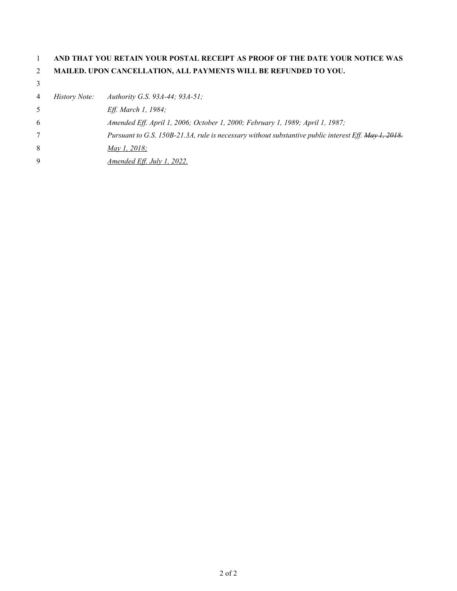# **AND THAT YOU RETAIN YOUR POSTAL RECEIPT AS PROOF OF THE DATE YOUR NOTICE WAS MAILED. UPON CANCELLATION, ALL PAYMENTS WILL BE REFUNDED TO YOU.** *History Note: Authority G.S. 93A-44; 93A-51; Eff. March 1, 1984; Amended Eff. April 1, 2006; October 1, 2000; February 1, 1989; April 1, 1987; Pursuant to G.S. 150B-21.3A, rule is necessary without substantive public interest Eff. May 1, 2018. May 1, 2018; Amended Eff. July 1, 2022.*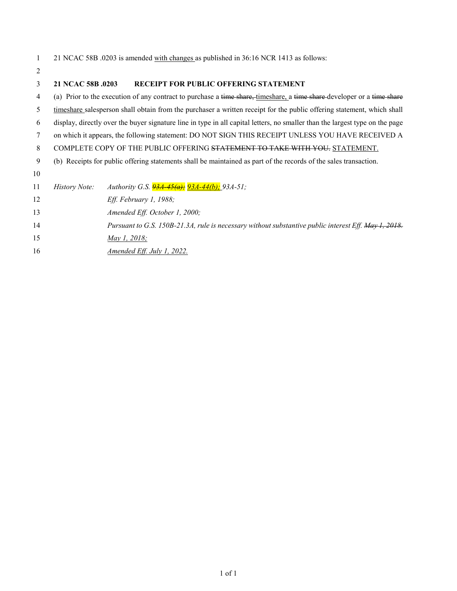21 NCAC 58B .0203 is amended with changes as published in 36:16 NCR 1413 as follows:

| 21 NCAC 58B .0203 | <b>RECEIPT FOR PUBLIC OFFERING STATEMENT</b> |
|-------------------|----------------------------------------------|
|                   |                                              |

4 (a) Prior to the execution of any contract to purchase a time share, timeshare, a time share developer or a time share

5 timeshare salesperson shall obtain from the purchaser a written receipt for the public offering statement, which shall

display, directly over the buyer signature line in type in all capital letters, no smaller than the largest type on the page

on which it appears, the following statement: DO NOT SIGN THIS RECEIPT UNLESS YOU HAVE RECEIVED A

8 COMPLETE COPY OF THE PUBLIC OFFERING STATEMENT TO TAKE WITH YOU. STATEMENT.

(b) Receipts for public offering statements shall be maintained as part of the records of the sales transaction.

| 10  |                      |                                                                                                      |
|-----|----------------------|------------------------------------------------------------------------------------------------------|
| -11 | <i>History Note:</i> | Authority G.S. <b>93A 45(a)</b> ; 93A-44(b); 93A-51;                                                 |
| 12  |                      | Eff. February 1, 1988;                                                                               |
| 13  |                      | Amended Eff. October 1, 2000;                                                                        |
| 14  |                      | Pursuant to G.S. 150B-21.3A, rule is necessary without substantive public interest Eff. May 1, 2018. |
| 15  |                      | May 1, 2018:                                                                                         |
| 16  |                      | Amended Eff. July 1, 2022.                                                                           |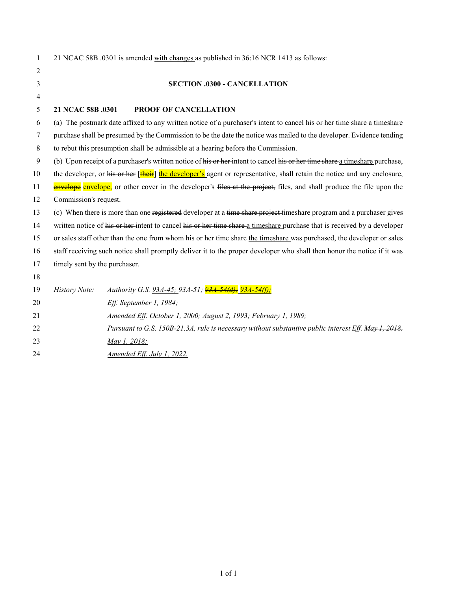| 1              |                                                                                                                         | 21 NCAC 58B .0301 is amended with changes as published in 36:16 NCR 1413 as follows:                                        |
|----------------|-------------------------------------------------------------------------------------------------------------------------|-----------------------------------------------------------------------------------------------------------------------------|
| $\overline{2}$ |                                                                                                                         |                                                                                                                             |
| 3              |                                                                                                                         | <b>SECTION .0300 - CANCELLATION</b>                                                                                         |
| 4              |                                                                                                                         |                                                                                                                             |
| 5              | 21 NCAC 58B .0301                                                                                                       | PROOF OF CANCELLATION                                                                                                       |
| 6              |                                                                                                                         | (a) The postmark date affixed to any written notice of a purchaser's intent to cancel his or her time share a timeshare     |
| $\tau$         |                                                                                                                         | purchase shall be presumed by the Commission to be the date the notice was mailed to the developer. Evidence tending        |
| 8              |                                                                                                                         | to rebut this presumption shall be admissible at a hearing before the Commission.                                           |
| 9              |                                                                                                                         | (b) Upon receipt of a purchaser's written notice of his or her intent to cancel his or her time share a timeshare purchase, |
| 10             |                                                                                                                         | the developer, or his or her [their] the developer's agent or representative, shall retain the notice and any enclosure,    |
| 11             |                                                                                                                         | envelope envelope, or other cover in the developer's files at the project, files, and shall produce the file upon the       |
| 12             | Commission's request.                                                                                                   |                                                                                                                             |
| 13             |                                                                                                                         | (c) When there is more than one registered developer at a time share project-timeshare program and a purchaser gives        |
| 14             |                                                                                                                         | written notice of his or her intent to cancel his or her time share a timeshare purchase that is received by a developer    |
| 15             |                                                                                                                         | or sales staff other than the one from whom his or her time share the timeshare was purchased, the developer or sales       |
| 16             | staff receiving such notice shall promptly deliver it to the proper developer who shall then honor the notice if it was |                                                                                                                             |
| 17             | timely sent by the purchaser.                                                                                           |                                                                                                                             |
| 18             |                                                                                                                         |                                                                                                                             |
| 19             | History Note:                                                                                                           | Authority G.S. 93A-45; 93A-51; 93A-54(d); 93A-54(f);                                                                        |
| 20             |                                                                                                                         | Eff. September 1, 1984;                                                                                                     |
| 21             |                                                                                                                         | Amended Eff. October 1, 2000; August 2, 1993; February 1, 1989;                                                             |
| 22             |                                                                                                                         | Pursuant to G.S. 150B-21.3A, rule is necessary without substantive public interest Eff. May 1, 2018.                        |
| 23             |                                                                                                                         | May 1, 2018;                                                                                                                |
| 24             |                                                                                                                         | Amended Eff. July 1, 2022.                                                                                                  |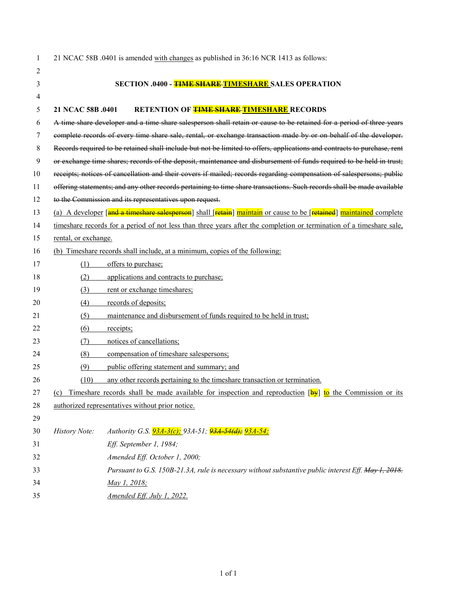| 1  | 21 NCAC 58B .0401 is amended with changes as published in 36:16 NCR 1413 as follows:                                                  |  |
|----|---------------------------------------------------------------------------------------------------------------------------------------|--|
| 2  |                                                                                                                                       |  |
| 3  | <b>SECTION .0400 - TIME SHARE TIMESHARE SALES OPERATION</b>                                                                           |  |
| 4  |                                                                                                                                       |  |
| 5  | <b>RETENTION OF TIME SHARE TIMESHARE RECORDS</b><br>21 NCAC 58B .0401                                                                 |  |
| 6  | A time share developer and a time share salesperson shall retain or cause to be retained for a period of three years                  |  |
| 7  | complete records of every time share sale, rental, or exchange transaction made by or on behalf of the developer.                     |  |
| 8  | Records required to be retained shall include but not be limited to offers, applications and contracts to purchase, rent              |  |
| 9  | or exchange time shares; records of the deposit, maintenance and disbursement of funds required to be held in trust;                  |  |
| 10 | receipts; notices of cancellation and their covers if mailed; records regarding compensation of salespersons; public                  |  |
| 11 | offering statements; and any other records pertaining to time share transactions. Such records shall be made available                |  |
| 12 | to the Commission and its representatives upon request.                                                                               |  |
| 13 | (a) A developer [and a timeshare salesperson] shall [retain] maintain or cause to be [retained] maintained complete                   |  |
| 14 | timeshare records for a period of not less than three years after the completion or termination of a timeshare sale,                  |  |
| 15 | rental, or exchange.                                                                                                                  |  |
| 16 | (b) Timeshare records shall include, at a minimum, copies of the following:                                                           |  |
| 17 | offers to purchase;<br>(1)                                                                                                            |  |
| 18 | applications and contracts to purchase;<br>(2)                                                                                        |  |
| 19 | rent or exchange timeshares;<br>(3)                                                                                                   |  |
| 20 | records of deposits;<br>(4)                                                                                                           |  |
| 21 | maintenance and disbursement of funds required to be held in trust;<br>(5)                                                            |  |
| 22 | (6)<br>receipts;                                                                                                                      |  |
| 23 | notices of cancellations;<br>(7)                                                                                                      |  |
| 24 | (8)<br>compensation of timeshare salespersons;                                                                                        |  |
| 25 | public offering statement and summary; and<br>(9)                                                                                     |  |
| 26 | any other records pertaining to the timeshare transaction or termination.<br>(10)                                                     |  |
| 27 | Timeshare records shall be made available for inspection and reproduction $\left[\frac{by}{b}\right]$ to the Commission or its<br>(c) |  |
| 28 | authorized representatives without prior notice.                                                                                      |  |
| 29 |                                                                                                                                       |  |
| 30 | Authority G.S. <b>93A-3(c)</b> ; 93A-51; 93A-54(d); 93A-54;<br>History Note:                                                          |  |
| 31 | Eff. September 1, 1984;                                                                                                               |  |
| 32 | Amended Eff. October 1, 2000;                                                                                                         |  |
| 33 | Pursuant to G.S. 150B-21.3A, rule is necessary without substantive public interest Eff. May 1, 2018.                                  |  |
| 34 | May 1, 2018;                                                                                                                          |  |
| 35 | Amended Eff. July 1, 2022.                                                                                                            |  |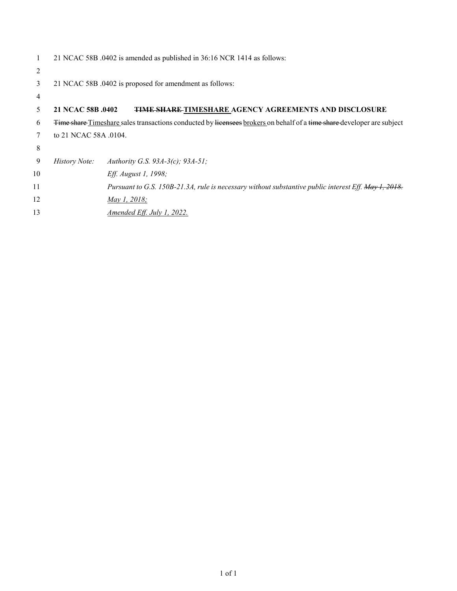| 1  |                       | 21 NCAC 58B .0402 is amended as published in 36:16 NCR 1414 as follows:                                                |
|----|-----------------------|------------------------------------------------------------------------------------------------------------------------|
| 2  |                       |                                                                                                                        |
| 3  |                       | 21 NCAC 58B .0402 is proposed for amendment as follows:                                                                |
| 4  |                       |                                                                                                                        |
| 5  | 21 NCAC 58B .0402     | <del>TIME SHARE </del> TIMESHARE AGENCY AGREEMENTS AND DISCLOSURE                                                      |
| 6  |                       | Time share-Timeshare sales transactions conducted by licensees brokers on behalf of a time share-developer are subject |
| 7  | to 21 NCAC 58A .0104. |                                                                                                                        |
| 8  |                       |                                                                                                                        |
| 9  | History Note:         | Authority G.S. 93A-3(c); 93A-51;                                                                                       |
| 10 |                       | <i>Eff. August 1, 1998;</i>                                                                                            |
| 11 |                       | Pursuant to G.S. 150B-21.3A, rule is necessary without substantive public interest Eff. May 1, 2018.                   |
| 12 |                       | May 1, 2018;                                                                                                           |
| 13 |                       | Amended Eff. July 1, 2022.                                                                                             |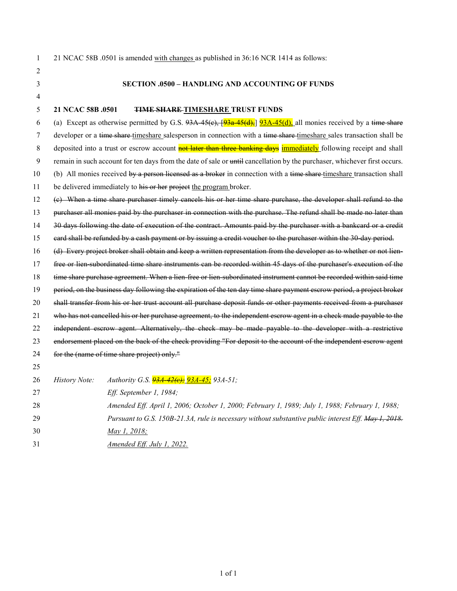| 1 21 NCAC 58B .0501 is amended with changes as published in 36:16 NCR 1414 as follows: |
|----------------------------------------------------------------------------------------|
|                                                                                        |

#### **SECTION .0500 – HANDLING AND ACCOUNTING OF FUNDS**

### **21 NCAC 58B .0501 TIME SHARE TIMESHARE TRUST FUNDS**

6 (a) Except as otherwise permitted by G.S.  $93A-45(e)$ ,  $93A-45(d)$ , all monies received by a time share 7 developer or a time share timeshare salesperson in connection with a time share timeshare sales transaction shall be 8 deposited into a trust or escrow account not later than three banking days immediately following receipt and shall 9 remain in such account for ten days from the date of sale or until cancellation by the purchaser, whichever first occurs. 10 (b) All monies received  $\frac{b}{a}$  person licensed as a broker in connection with a time share timeshare transaction shall 11 be delivered immediately to his or her project the program broker. (c) When a time share purchaser timely cancels his or her time share purchase, the developer shall refund to the 13 purchaser all monies paid by the purchaser in connection with the purchase. The refund shall be made no later than 14 30 days following the date of execution of the contract. Amounts paid by the purchaser with a bankcard or a credit 15 eard shall be refunded by a cash payment or by issuing a credit voucher to the purchaser within the 30-day period. (d) Every project broker shall obtain and keep a written representation from the developer as to whether or not lien- free or lien-subordinated time share instruments can be recorded within 45 days of the purchaser's execution of the 18 time share purchase agreement. When a lien-free or lien-subordinated instrument cannot be recorded within said time period, on the business day following the expiration of the ten day time share payment escrow period, a project broker 20 shall transfer from his or her trust account all purchase deposit funds or other payments received from a purchaser who has not cancelled his or her purchase agreement, to the independent escrow agent in a check made payable to the independent escrow agent. Alternatively, the check may be made payable to the developer with a restrictive

23 endorsement placed on the back of the check providing "For deposit to the account of the independent escrow agent

for the (name of time share project) only."

| 26 | <i>History Note:</i> | Authority G.S. <b>93A 42(c)</b> ; 93A-45; 93A-51;                                                    |
|----|----------------------|------------------------------------------------------------------------------------------------------|
| 27 |                      | Eff. September 1, 1984;                                                                              |
| 28 |                      | Amended Eff. April 1, 2006; October 1, 2000; February 1, 1989; July 1, 1988; February 1, 1988;       |
| 29 |                      | Pursuant to G.S. 150B-21.3A, rule is necessary without substantive public interest Eff. May 1, 2018. |
| 30 |                      | May 1, 2018;                                                                                         |
| 31 |                      | Amended Eff. July 1, 2022.                                                                           |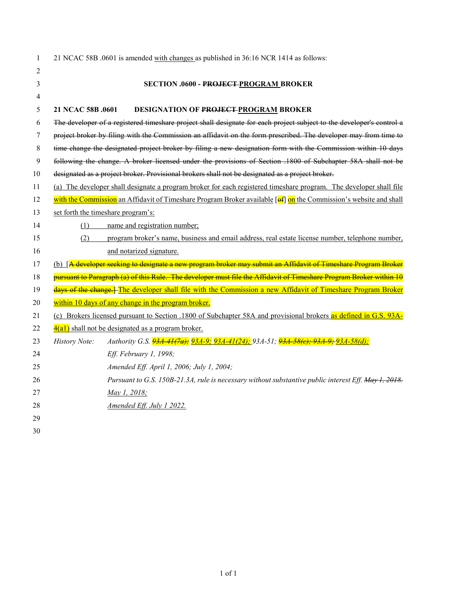| $\mathbf{1}$ |                   | 21 NCAC 58B .0601 is amended with changes as published in 36:16 NCR 1414 as follows:                                  |
|--------------|-------------------|-----------------------------------------------------------------------------------------------------------------------|
| 2            |                   |                                                                                                                       |
| 3            |                   | SECTION .0600 - PROJECT-PROGRAM BROKER                                                                                |
| 4            |                   |                                                                                                                       |
| 5            | 21 NCAC 58B .0601 | DESIGNATION OF PROJECT-PROGRAM BROKER                                                                                 |
| 6            |                   | The developer of a registered timeshare project shall designate for each project subject to the developer's control a |
| 7            |                   | project broker by filing with the Commission an affidavit on the form prescribed. The developer may from time to      |
| 8            |                   | time change the designated project broker by filing a new designation form with the Commission within 10 days         |
| 9            |                   | following the change. A broker licensed under the provisions of Section .1800 of Subchapter 58A shall not be          |
| 10           |                   | designated as a project broker. Provisional brokers shall not be designated as a project broker.                      |
| 11           |                   | (a) The developer shall designate a program broker for each registered timeshare program. The developer shall file    |
| 12           |                   | with the Commission an Affidavit of Timeshare Program Broker available [of ] on the Commission's website and shall    |
| 13           |                   | set forth the timeshare program's:                                                                                    |
| 14           | (1)               | name and registration number;                                                                                         |
| 15           | (2)               | program broker's name, business and email address, real estate license number, telephone number,                      |
| 16           |                   | and notarized signature.                                                                                              |
| 17           |                   | (b) [A developer seeking to designate a new program broker may submit an Affidavit of Timeshare Program Broker        |
| 18           |                   | pursuant to Paragraph (a) of this Rule. The developer must file the Affidavit of Timeshare Program Broker within 10   |
| 19           |                   | days of the change.] The developer shall file with the Commission a new Affidavit of Timeshare Program Broker         |
| 20           |                   | within 10 days of any change in the program broker.                                                                   |
| 21           |                   | (c) Brokers licensed pursuant to Section .1800 of Subchapter 58A and provisional brokers as defined in G.S. 93A-      |
| 22           |                   | $4(a1)$ shall not be designated as a program broker.                                                                  |
| 23           | History Note:     | Authority G.S. <b>93A-41(7a)</b> ; 93A-9; 93A-41(24); 93A-51; 93A-58(e); 93A-9; 93A-58(d);                            |
| 24           |                   | Eff. February 1, 1998;                                                                                                |
| 25           |                   | Amended Eff. April 1, 2006; July 1, 2004;                                                                             |
| 26           |                   | Pursuant to G.S. 150B-21.3A, rule is necessary without substantive public interest Eff. May 1, 2018.                  |
| 27           |                   | May 1, 2018;                                                                                                          |
| 28           |                   | Amended Eff. July 1 2022.                                                                                             |
| 29           |                   |                                                                                                                       |
| 30           |                   |                                                                                                                       |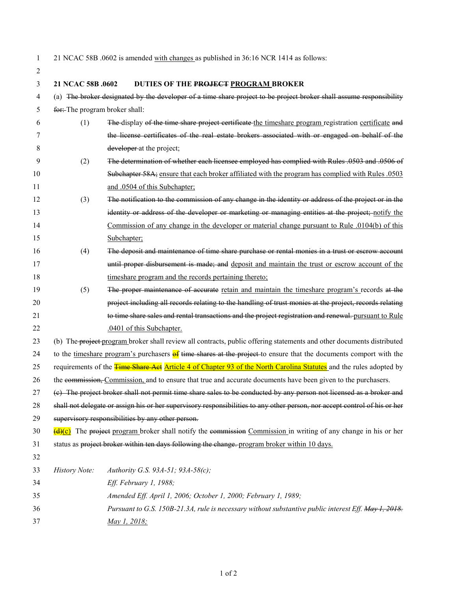21 NCAC 58B .0602 is amended with changes as published in 36:16 NCR 1414 as follows:

| 2  |                                |                                                                                                                            |
|----|--------------------------------|----------------------------------------------------------------------------------------------------------------------------|
| 3  | 21 NCAC 58B .0602              | DUTIES OF THE PROJECT PROGRAM BROKER                                                                                       |
| 4  |                                | (a) The broker designated by the developer of a time share project to be project broker shall assume responsibility        |
| 5  | for: The program broker shall: |                                                                                                                            |
| 6  | (1)                            | The display of the time share project certificate the timeshare program registration certificate and                       |
| 7  |                                | the license certificates of the real estate brokers associated with or engaged on behalf of the                            |
| 8  |                                | developer at the project;                                                                                                  |
| 9  | (2)                            | The determination of whether each licensee employed has complied with Rules .0503 and .0506 of                             |
| 10 |                                | Subchapter 58A; ensure that each broker affiliated with the program has complied with Rules .0503                          |
| 11 |                                | and .0504 of this Subchapter;                                                                                              |
| 12 | (3)                            | The notification to the commission of any change in the identity or address of the project or in the                       |
| 13 |                                | identity or address of the developer or marketing or managing entities at the project; notify the                          |
| 14 |                                | Commission of any change in the developer or material change pursuant to Rule .0104(b) of this                             |
| 15 |                                | Subchapter;                                                                                                                |
| 16 | (4)                            | The deposit and maintenance of time share purchase or rental monies in a trust or escrow account                           |
| 17 |                                | until proper disbursement is made; and deposit and maintain the trust or escrow account of the                             |
| 18 |                                | timeshare program and the records pertaining thereto;                                                                      |
| 19 | (5)                            | The proper maintenance of accurate retain and maintain the timeshare program's records at the                              |
| 20 |                                | project including all records relating to the handling of trust monies at the project, records relating                    |
| 21 |                                | to time share sales and rental transactions and the project registration and renewal. pursuant to Rule                     |
| 22 |                                | .0401 of this Subchapter.                                                                                                  |
| 23 |                                | (b) The project program broker shall review all contracts, public offering statements and other documents distributed      |
| 24 |                                | to the timeshare program's purchasers of time shares at the project to ensure that the documents comport with the          |
| 25 |                                | requirements of the Time Share Act Article 4 of Chapter 93 of the North Carolina Statutes and the rules adopted by         |
| 26 |                                | the commission, Commission, and to ensure that true and accurate documents have been given to the purchasers.              |
| 27 |                                | (e) The project broker shall not permit time share sales to be conducted by any person not licensed as a broker and        |
| 28 |                                | shall not delegate or assign his or her supervisory responsibilities to any other person, nor accept control of his or her |
| 29 |                                | supervisory responsibilities by any other person.                                                                          |
| 30 |                                | (d)(c) The project program broker shall notify the commission Commission in writing of any change in his or her            |
| 31 |                                | status as project broker within ten days following the change. program broker within 10 days.                              |
| 32 |                                |                                                                                                                            |
| 33 | History Note:                  | Authority G.S. 93A-51; 93A-58(c);                                                                                          |
| 34 |                                | Eff. February 1, 1988;                                                                                                     |
| 35 |                                | Amended Eff. April 1, 2006; October 1, 2000; February 1, 1989;                                                             |
| 36 |                                | Pursuant to G.S. 150B-21.3A, rule is necessary without substantive public interest Eff. May 1, 2018.                       |
| 37 |                                | May 1, 2018;                                                                                                               |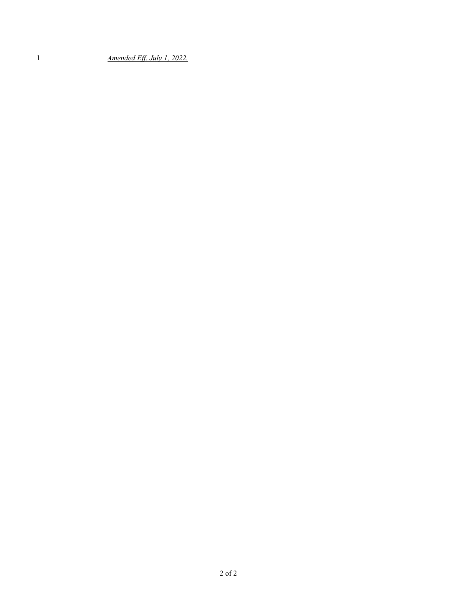*Amended Eff. July 1, 2022.*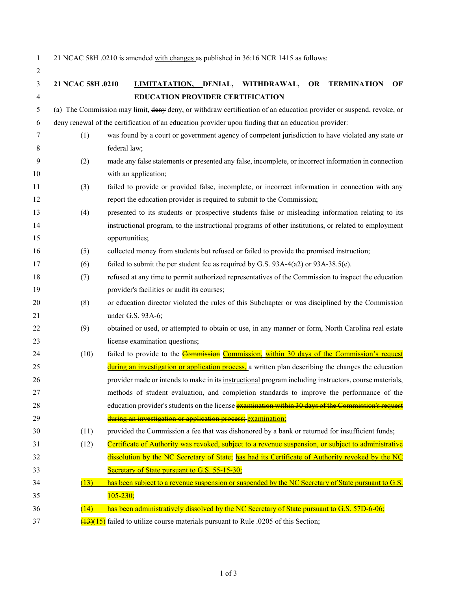21 NCAC 58H .0210 is amended with changes as published in 36:16 NCR 1415 as follows:

| 3              | 21 NCAC 58H .0210 | LIMITATATION, DENIAL, WITHDRAWAL,<br>OR<br><b>TERMINATION</b><br>OF                                                |
|----------------|-------------------|--------------------------------------------------------------------------------------------------------------------|
| $\overline{4}$ |                   | <b>EDUCATION PROVIDER CERTIFICATION</b>                                                                            |
| 5              |                   | (a) The Commission may limit, deny deny, or withdraw certification of an education provider or suspend, revoke, or |
| 6              |                   | deny renewal of the certification of an education provider upon finding that an education provider:                |
| 7              | (1)               | was found by a court or government agency of competent jurisdiction to have violated any state or                  |
| 8              |                   | federal law;                                                                                                       |
| 9              | (2)               | made any false statements or presented any false, incomplete, or incorrect information in connection               |
| 10             |                   | with an application;                                                                                               |
| 11             | (3)               | failed to provide or provided false, incomplete, or incorrect information in connection with any                   |
| 12             |                   | report the education provider is required to submit to the Commission;                                             |
| 13             | (4)               | presented to its students or prospective students false or misleading information relating to its                  |
| 14             |                   | instructional program, to the instructional programs of other institutions, or related to employment               |
| 15             |                   | opportunities;                                                                                                     |
| 16             | (5)               | collected money from students but refused or failed to provide the promised instruction;                           |
| 17             | (6)               | failed to submit the per student fee as required by G.S. 93A-4(a2) or 93A-38.5(e).                                 |
| 18             | (7)               | refused at any time to permit authorized representatives of the Commission to inspect the education                |
| 19             |                   | provider's facilities or audit its courses;                                                                        |
| 20             | (8)               | or education director violated the rules of this Subchapter or was disciplined by the Commission                   |
| 21             |                   | under G.S. 93A-6;                                                                                                  |
| 22             | (9)               | obtained or used, or attempted to obtain or use, in any manner or form, North Carolina real estate                 |
| 23             |                   | license examination questions;                                                                                     |
| 24             | (10)              | failed to provide to the <b>Commission</b> Commission, within 30 days of the Commission's request                  |
| 25             |                   | during an investigation or application process, a written plan describing the changes the education                |
| 26             |                   | provider made or intends to make in its instructional program including instructors, course materials,             |
| 27             |                   | methods of student evaluation, and completion standards to improve the performance of the                          |
| 28             |                   | education provider's students on the license <b>examination within 30 days of the Commission's request</b>         |
| 29             |                   | during an investigation or application process; examination;                                                       |
| 30             | (11)              | provided the Commission a fee that was dishonored by a bank or returned for insufficient funds;                    |
| 31             | (12)              | Certificate of Authority was revoked, subject to a revenue suspension, or subject to administrative                |
| 32             |                   | dissolution by the NC Secretary of State; has had its Certificate of Authority revoked by the NC                   |
| 33             |                   | Secretary of State pursuant to G.S. 55-15-30;                                                                      |
| 34             | (13)              | has been subject to a revenue suspension or suspended by the NC Secretary of State pursuant to G.S.                |
| 35             |                   | $105 - 230;$                                                                                                       |
| 36             | (14)              | has been administratively dissolved by the NC Secretary of State pursuant to G.S. 57D-6-06;                        |
| 37             |                   | $\frac{(13)(15)}{(13)(15)}$ failed to utilize course materials pursuant to Rule .0205 of this Section;             |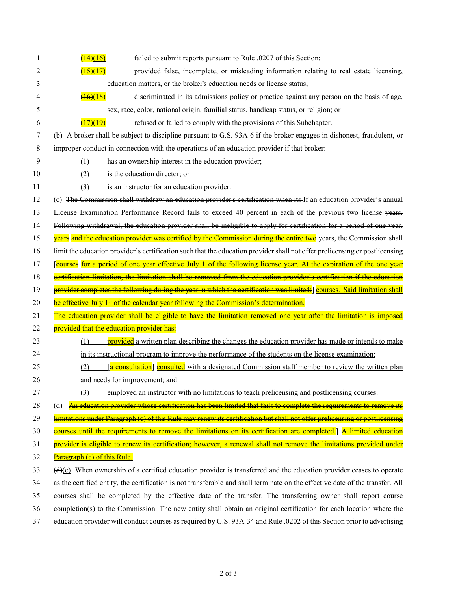| 1  | failed to submit reports pursuant to Rule .0207 of this Section;<br>$\frac{(14)(16)}{2}$                                                |
|----|-----------------------------------------------------------------------------------------------------------------------------------------|
| 2  | $\frac{(15)(17)}{2}$<br>provided false, incomplete, or misleading information relating to real estate licensing,                        |
| 3  | education matters, or the broker's education needs or license status;                                                                   |
| 4  | discriminated in its admissions policy or practice against any person on the basis of age,<br>(16)(18)                                  |
| 5  | sex, race, color, national origin, familial status, handicap status, or religion; or                                                    |
| 6  | $\frac{(17)(19)}{2}$<br>refused or failed to comply with the provisions of this Subchapter.                                             |
| 7  | (b) A broker shall be subject to discipline pursuant to G.S. 93A-6 if the broker engages in dishonest, fraudulent, or                   |
| 8  | improper conduct in connection with the operations of an education provider if that broker:                                             |
| 9  | (1)<br>has an ownership interest in the education provider;                                                                             |
| 10 | is the education director; or<br>(2)                                                                                                    |
| 11 | (3)<br>is an instructor for an education provider.                                                                                      |
| 12 | (c) The Commission shall withdraw an education provider's certification when its If an education provider's annual                      |
| 13 | License Examination Performance Record fails to exceed 40 percent in each of the previous two license years.                            |
| 14 | Following withdrawal, the education provider shall be ineligible to apply for certification for a period of one year.                   |
| 15 | years and the education provider was certified by the Commission during the entire two years, the Commission shall                      |
| 16 | limit the education provider's certification such that the education provider shall not offer prelicensing or postlicensing             |
| 17 | [ <mark>eourses for a period of one year effective July 1 of the following license year. At the expiration of the one year</mark>       |
| 18 | eertification limitation, the limitation shall be removed from the education provider's certification if the education                  |
| 19 | provider completes the following during the year in which the certification was limited: courses. Said limitation shall                 |
| 20 | be effective July $1st$ of the calendar year following the Commission's determination.                                                  |
| 21 | The education provider shall be eligible to have the limitation removed one year after the limitation is imposed                        |
| 22 | provided that the education provider has:                                                                                               |
| 23 | (1)<br>provided a written plan describing the changes the education provider has made or intends to make                                |
| 24 | in its instructional program to improve the performance of the students on the license examination;                                     |
| 25 | <b>Example 1</b> also enterpresent consulted with a designated Commission staff member to review the written plan<br>(2)                |
| 26 | and needs for improvement; and                                                                                                          |
| 27 | (3)<br>employed an instructor with no limitations to teach prelicensing and postlicensing courses.                                      |
| 28 | (d) [An education provider whose certification has been limited that fails to complete the requirements to remove its                   |
| 29 |                                                                                                                                         |
|    | limitations under Paragraph (e) of this Rule may renew its certification but shall not offer prelicensing or postlicensing              |
| 30 | courses until the requirements to remove the limitations on its certification are completed. A limited education                        |
| 31 | provider is eligible to renew its certification; however, a renewal shall not remove the limitations provided under                     |
| 32 | Paragraph (c) of this Rule.                                                                                                             |
| 33 | $\left(\frac{d}{e}\right)$ When ownership of a certified education provider is transferred and the education provider ceases to operate |
| 34 | as the certified entity, the certification is not transferable and shall terminate on the effective date of the transfer. All           |
| 35 | courses shall be completed by the effective date of the transfer. The transferring owner shall report course                            |
| 36 | completion(s) to the Commission. The new entity shall obtain an original certification for each location where the                      |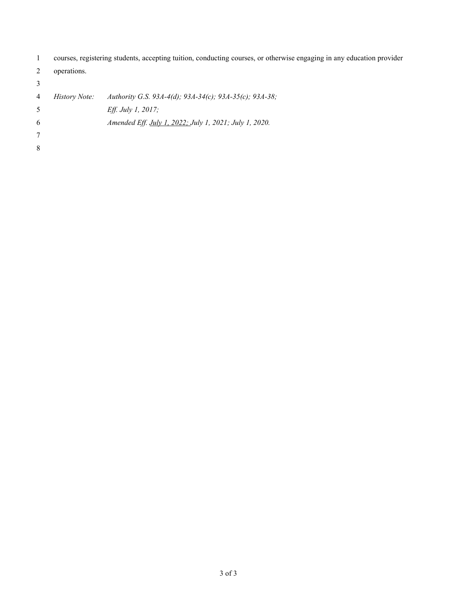| courses, registering students, accepting tuition, conducting courses, or otherwise engaging in any education provider |  |  |  |
|-----------------------------------------------------------------------------------------------------------------------|--|--|--|
|                                                                                                                       |  |  |  |

| 2 | operations.          |                                                        |
|---|----------------------|--------------------------------------------------------|
| 3 |                      |                                                        |
| 4 | <i>History Note:</i> | Authority G.S. 93A-4(d); 93A-34(c); 93A-35(c); 93A-38; |
| 5 |                      | <i>Eff. July 1, 2017;</i>                              |
| 6 |                      | Amended Eff. July 1, 2022; July 1, 2021; July 1, 2020. |
| 7 |                      |                                                        |
| 8 |                      |                                                        |
|   |                      |                                                        |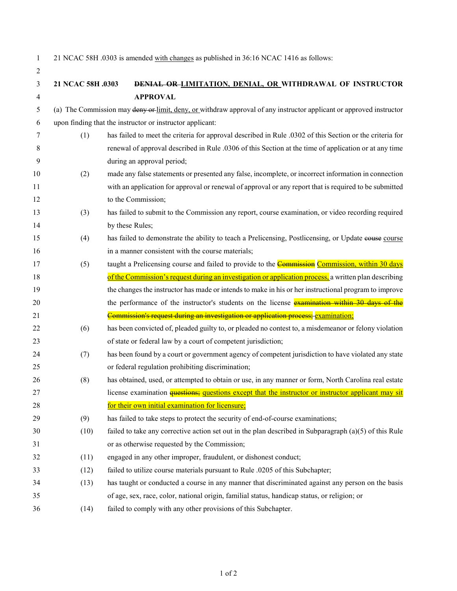21 NCAC 58H .0303 is amended with changes as published in 36:16 NCAC 1416 as follows: **21 NCAC 58H .0303 DENIAL OR LIMITATION, DENIAL, OR WITHDRAWAL OF INSTRUCTOR APPROVAL** 5 (a) The Commission may deny or limit, deny, or withdraw approval of any instructor applicant or approved instructor upon finding that the instructor or instructor applicant: (1) has failed to meet the criteria for approval described in Rule .0302 of this Section or the criteria for renewal of approval described in Rule .0306 of this Section at the time of application or at any time during an approval period; (2) made any false statements or presented any false, incomplete, or incorrect information in connection with an application for approval or renewal of approval or any report that is required to be submitted 12 to the Commission: (3) has failed to submit to the Commission any report, course examination, or video recording required 14 by these Rules; (4) has failed to demonstrate the ability to teach a Prelicensing, Postlicensing, or Update couse course in a manner consistent with the course materials; 17 (5) taught a Prelicensing course and failed to provide to the Commission Commission, within 30 days **of the Commission's request during an investigation or application process**, a written plan describing the changes the instructor has made or intends to make in his or her instructional program to improve 20 the performance of the instructor's students on the license examination within 30 days of the **Commission's request during an investigation or application process; examination;**  (6) has been convicted of, pleaded guilty to, or pleaded no contest to, a misdemeanor or felony violation of state or federal law by a court of competent jurisdiction; (7) has been found by a court or government agency of competent jurisdiction to have violated any state or federal regulation prohibiting discrimination; (8) has obtained, used, or attempted to obtain or use, in any manner or form, North Carolina real estate 27 license examination questions; questions except that the instructor or instructor applicant may sit *Comment of their own initial examination for licensure;*  (9) has failed to take steps to protect the security of end-of-course examinations; (10) failed to take any corrective action set out in the plan described in Subparagraph (a)(5) of this Rule or as otherwise requested by the Commission; (11) engaged in any other improper, fraudulent, or dishonest conduct; (12) failed to utilize course materials pursuant to Rule .0205 of this Subchapter; (13) has taught or conducted a course in any manner that discriminated against any person on the basis of age, sex, race, color, national origin, familial status, handicap status, or religion; or (14) failed to comply with any other provisions of this Subchapter.